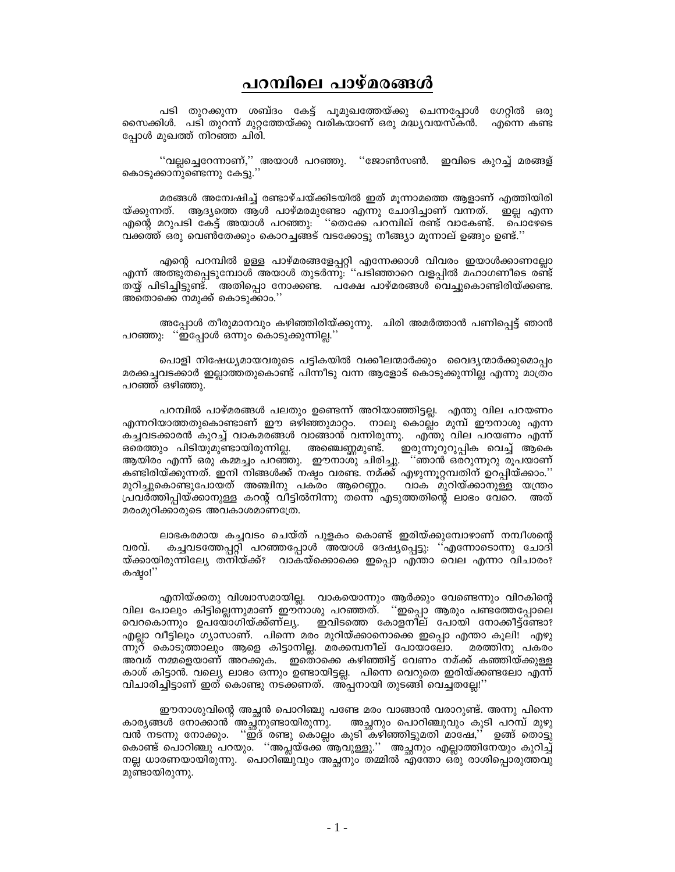## പറമ്പിലെ പാഴ്മരങ്ങൾ

പടി തുറക്കുന്ന ശബ്ദം കേട്ട് പൂമുഖത്തേയ്ക്കു ചെന്നപ്പോൾ ഗേറ്റിൽ ഒരു സൈക്കിൾ. പടി തുറന്ന് മുറ്റത്തേയ്ക്കു വരികയാണ് ഒരു മദ്ധ്യവയസ്കൻ. എന്നെ കണ്ട പോൾ മുഖത്ത് നിറഞ്ഞ ചിരി.

''വല്ലച്ചെറേന്നാണ്,'' അയാൾ പറഞ്ഞു. ''ജോൺസൺ. ഇവിടെ കുറച്ച് മരങ്ങള് കൊടുക്കാനുണ്ടെന്നു കേട്ടു.''

മരങ്ങൾ അന്വേഷിച്ച് രണ്ടാഴ്ചയ്ക്കിടയിൽ ഇത് മൂന്നാമത്തെ ആളാണ് എത്തിയിരി യ്ക്കുന്നത്. ആദ്യത്തെ ആൾ പാഴ്മരമുണ്ടോ എന്നു ചോദിച്ചാണ് വന്നത്. ഇല്ല എന്ന എന്റെ മറുപടി കേട്ട് അയാൾ പറഞ്ഞു. ''തെക്കേ പറമ്പില് രണ്ട് വാകേണ്ട്. പൊഴേടെ വക്കത്ത് ഒരു വെൺതേക്കും കൊറച്ചങ്ങട് വടക്കോട്ടു നീങ്ങ്യാ മുന്നാല് ഉങ്ങും ഉണ്ട്.''

എന്റെ പറമ്പിൽ ഉള്ള പാഴ്മരങ്ങളേപ്പറ്റി എന്നേക്കാൾ വിവരം ഇയാൾക്കാണല്ലോ എന്ന് അ്ങുതപ്പെടുമ്പോൾ അയാൾ തുടർന്നു: ''പടിഞ്ഞാറെ വളപ്പിൽ മഹാഗണീടെ രണ്ട് തയ്യ് പിടിച്ചിട്ടുണ്ട്. അതിപ്പൊ നോക്കണ്ട. പക്ഷേ പാഴ്മരങ്ങൾ വെച്ചുകൊണ്ടിരിയ്ക്കണ്ട. അതൊക്കെ നമുക്ക് കൊടുക്കാം.''

അപ്പോൾ തീരുമാനവും കഴിഞ്ഞിരിയ്ക്കുന്നു. ചിരി അമർത്താൻ പണിപ്പെട്ട് ഞാൻ പറഞ്ഞു: ''ഇപ്പോൾ ഒന്നും കൊടുക്കുന്നില്ല.''

പൊളി നിഷേധ്യമായവരുടെ പട്ടികയിൽ വക്കീലന്മാർക്കും വൈദ്യന്മാർക്കുമൊപ്പം മരക്കച്ചവടക്കാർ ഇല്ലാത്തതുകൊണ്ട് പിന്നീടു വന്ന ആളോട് കൊടുക്കുന്നില്ല എന്നു മാത്രം പറഞ്ഞ് ഒഴിഞ്ഞു.

പറമ്പിൽ പാഴ്മരങ്ങൾ പലതും ഉണ്ടെന്ന് അറിയാഞ്ഞിട്ടല്ല. എന്തു വില പറയണം എന്നറിയാത്തതുകൊണ്ടാണ് ഈ ഒഴിഞ്ഞുമാറ്റം. നാലു കൊല്ല്ം മുമ്പ് ഈനാശു എന്ന കച്ചവടക്കാരൻ കുറച്ച് വാകമരങ്ങൾ വാങ്ങാൻ വന്നിരുന്നു. എന്തു വില പറയണം എന്ന് ഒരെത്തും പിടിയുമുണ്ടായിരുന്നില്ല. അഞ്ചെണ്ണമുണ്ട്. ഇരുന്നൂറുറുപ്പിക വെച്ച് ആകെ ആയിരം എന്ന് ഒരു കമ്മച്ചം പറഞ്ഞു. ഇൗനാശു ചിരിച്ചു. ''ഞാൻ ഒര്റുന്നൂറു രൂപയാണ് കണ്ടിരിയ്ക്കുന്നത്. ഇനി നിങ്ങൾക്ക് നഷ്ടം വരണ്ട. നമ്ക്ക് എഴുന്നൂറ്റമ്പതിന് ഉറപ്പിയ്ക്കാം.'' മുറിച്ചുകൊണ്ടുപോയത് അഞ്ചിനു പകരം ആറെണ്ണം. വാക മുറിയ്ക്കാനുള്ള യന്ത്രം പ്രവർത്തിപ്പിയ്ക്കാനുള്ള കറന്റ് വീട്ടിൽനിന്നു തന്നെ എടുത്തതിന്റെ ലാഭം വേറെ. അത് മരംമുറിക്കാരുടെ അവകാശമാണത്രേ.

ലാഭകരമായ കച്ചവടം ചെയ്ത് പുളകം കൊണ്ട് ഇരിയ്ക്കുമ്പോഴാണ് നമ്പീശന്റെ കച്ചവടത്തേപ്പറ്റി പറഞ്ഞപ്പോൾ അയാൾ ദേഷ്യപ്പെട്ടു. ''എന്നോടൊന്നു ചോദി വരവ്. യ്ക്കായിരുന്നില്വേ തനിയ്ക്ക്? വാകയ്ക്കൊക്കെ ഇപ്പൊ എന്താ വെല എന്നാ വിചാരം? കഷാ!''

എനിയ്ക്കതു വിശ്വാസമായില്ല. വാകയൊന്നും ആർക്കും വേണ്ടെന്നും വിറകിന്റെ<br>വില പോലും കിട്ടില്ലെന്നുമാണ് ഈനാശു പറഞ്ഞത്. ''ഇപ്പൊ ആരും പണ്ടത്തേപ്പോലെ ഇവിടത്തെ കോളനീല് പോയി നോക്കീട്ട്ണ്ടോ? വെറകൊന്നും ഉപയോഗിയ്ക്ക്ണ്ല്യ. എല്ലാ വീട്ടിലും ഗ്യാസാണ്. പിന്നെ മരം മുറിയ്ക്കാനൊക്കെ ഇപ്പൊ എന്താ കൂലി! എഴു ന്നൂറ് കൊടുത്താലും ആളെ കിട്ടാനില്ല. മരക്കമ്പനീല് പോയാലോ. മരത്തിനു പകരം അവര് നമ്മളെയാണ് അറക്കുക. ഇതൊക്കെ കഴിഞ്ഞിട്ട് വേണം നമ്ക്ക് കഞ്ഞിയ്ക്കുള്ള കാശ് കിട്ടാൻ. വല്വെ, ലാഭം ഒന്നും ഉണ്ടായിട്ടല്ല. പിന്നെ വെറുതെ ഇരിയ്ക്കണ്ടലോ എന്ന് വിചാരിച്ചിട്ടാണ് ഇത് കൊണ്ടു നടക്കണത്. അ്പ്പനായി തുടങ്ങി വെച്ചതല്ലേ''

ഈനാശുവിന്റെ അച്ഛൻ പൊറിഞ്ചു പണ്ടേ മരം വാങ്ങാൻ വരാറുണ്ട്. അന്നു പിന്നെ കാര്യങ്ങൾ നോക്കാൻ അച്ഛനുണ്ടായിരുന്നു. അച്ഛനും പൊറിഞ്ചുവും കൂടി പറമ്പ് മുഴു വൻ നടന്നു നോക്കും. ''ഇ്ദ് രണ്ടു കൊല്ലം കൂടി കഴിഞ്ഞിട്ടുമതി മാഷേ,'' ഉങ്ങ് തൊട്ടു കൊണ്ട് പൊറിഞ്ചു പറയും. ''അപ്ലയ്ക്കേ്ആവുള്ളു.'' അച്ഛനും എല്ലാത്തിനേയും കുറിച്ച് നല്ല ധാരണയായിരുന്നു. പൊറിഞ്ചുവും അച്ഛനും തമ്മിൽ എന്തോ ഒരു രാശിപ്പൊരുത്തവു മുണ്ടായിരുന്നു.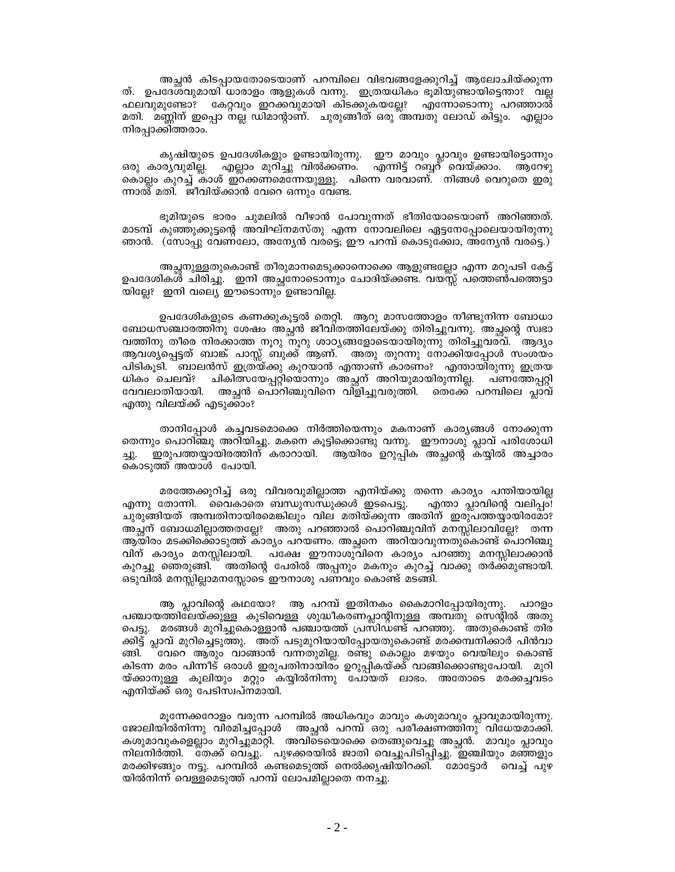അച്ഛൻ കിടപ്പായതോടെയാണ് പറമ്പിലെ വിഭവങ്ങളേക്കുറിച്ച് ആലോചിയ്ക്കുന്ന ത്. ഉപദേശവുമായി ധാരാളം ആളുകൾ വന്നു. ഇത്രയധികം ഭൂമിയുണ്ടായിട്ടെന്താ? വല്ല ഫലവുമുണ്ടോ? കേറ്റവും ഇറക്കവുമായി കിടക്കുകയല്ലേ? എന്നോടൊന്നു പറഞ്ഞാൽ മതി. മണ്ണിന് ഇപ്പൊ നല്ല ഡിമാന്റാണ്. ചുരുങ്ങീത് ഒരു അമ്പതു ലോഡ് കിട്ടും. എല്ലാം നിരപ്പാക്കിത്തരാം.

കൃഷിയുടെ ഉപദേശികളും ഉണ്ടായിരുന്നു. ഈ മാവും പ്ലാവും ഉണ്ടായിട്ടൊന്നും എന്നിട്ട് റബ്ബറ് വെയ്ക്കാം. ഒരു കാര്യവുമില്ല. എല്ലാം മുറിച്ചു വിൽക്കണം. ആറേഴു കൊല്ലം കുറച്ച് കാശ് ഇറക്കണമെന്നേയുള്ളു. പിന്നെ വരവാണ്. നിങ്ങൾ വെറുതെ ഇരു ന്നാൽ മതി. ജീവിയ്ക്കാൻ വേറെ ഒന്നും വേണ്ട.

ഭൂമിയുടെ ഭാരം ചുമലിൽ വീഴാൻ പോവുന്നത് ഭീതിയോടെയാണ് അറിഞ്ഞത്. മാടമ്പ് കുഞ്ഞുക്കുട്ടന്റെ അവിഘ്നമസ്തു എന്ന നോവലിലെ ഏട്ടനേപ്പോലെയായിരുന്നു ഞാൻ. (സോപ്പു വേണ്ലോ, അന്യേൻ വരട്ടെ; ഈ പറമ്പ് കൊടുക്കോ, അന്യേൻ വരട്ടെ.)

അച്ഛനുള്ളതുകൊണ്ട് തീരുമാനമെടുക്കാനൊക്കെ ആളുണ്ടല്ലോ എന്ന മറുപടി കേട്ട് ഉപദേശികൾ ചിരിച്ചു. ഇനി അച്ഛനോടൊന്നും ചോദിയ്ക്കണ്ട. വയസ്സ് പത്തെൺപത്തെട്ടാ യില്ലേ? ഇനി വല്യെ ഈടൊന്നും ഉണ്ടാവില്ല.

ഉപദേശികളുടെ കണക്കുകൂട്ടൽ തെറ്റി. ആറു മാസത്തോളം നീണ്ടുനിന്ന ബോധാ ബോധസഞ്ചാരത്തിനു ശേഷം അച്ഛൻ ജീവിതത്തിലേയ്ക്കു തിരിച്ചുവന്നു. അച്ഛന്റെ സ്വഭാ വത്തിനു തീരെ നിരക്കാത്ത നൂറു നൂറു ശാഠ്യങ്ങളോടെയായിരുന്നു തിരിച്ചുവരവ്. ``ആദ്യം ആവശ്യപ്പെട്ടത് ബാങ്ക് പാസ്സ് ബുക്ക് ആണ്. അതു തുറന്നു നോക്കിയപ്പോൾ സംശയം പിടികൂടി. ബാലൻസ് ഇത്രയ്ക്കു കുറയാൻ എന്താണ് കാരണം? എന്തായിരുന്നു ഇത്രയ ധികം ചെലവ്? ചികിത്സയേപ്പറ്റിയൊന്നും അച്ഛന് അറിയുമായിരുന്നില്ല. പണത്തേപ്പറ്റി വേവലാതിയായി. അച്ഛൻ പൊറിഞ്ചുവിനെ വിളിച്ചുവരുത്തി. തെക്കേ പറമ്പിലെ പ്ലാവ് എന്തു വിലയ്ക്ക് എടുക്കാം?

താനിപ്പോൾ കച്ചവടമൊക്കെ നിർത്തിയെന്നും മകനാണ് കാര്യങ്ങൾ നോക്കുന്ന തെന്നും പൊറിഞ്ചു അറിയിച്ചു. മകനെ കൂട്ടിക്കൊണ്ടു വന്നു. ഇൗനാശു പ്ലാവ് പരിശോധി ഇരുപത്തയ്യായിരത്തിന് കരാറായി. ആയിരം ഉറുപ്പിക അച്ഛന്റെ കയ്യിൽ അച്ചാരം കൊടുത്ത് അയാൾ പോയി.

മരത്തേക്കുറിച്ച് ഒരു വിവരവുമില്ലാത്ത എനിയ്ക്കു തന്നെ കാര്യം പന്തിയായില്ല എന്നു തോന്നി. വൈകാതെ ബന്ധുസന്ധുക്കൾ ഇടപെട്ടു. എന്താ പ്ലാവിന്റെ വലിപ്പം! ചുരുങ്ങിയത് അമ്പതിനായിരമെങ്കിലും വില മതിയ്ക്കുന്ന അതിന് ഇരുപത്തയ്യായിരമോ? അച്ഛന് ബോധമില്ലാത്തതല്ലേ? അതു പറഞ്ഞാൽ പൊറിഞ്ചുവിന് മനസ്സിലാവില്ലേ? തന്ന ആയിരം മടക്കിക്കൊടുത്ത് കാര്യം പറയണം. അച്ഛനെ അറിയാവുന്നതുകൊണ്ട് പൊറിഞ്ചു വിന് കാര്യം മനസ്സിലായി. പക്ഷേ ഈനാശുവിനെ കാര്യം പറഞ്ഞു മനസ്സിലാക്കാൻ കുറച്ചു ഞെരുങ്ങി. അതിന്റെ പേരിൽ അപ്പനും മകനും കുറച്ച് വാക്കു തർക്കമുണ്ടായി. ഒടുവിൽ മനസ്സില്ലാമനസ്സോടെ ഈനാശു പണവും കൊണ്ട് മടങ്ങി.

ആ പ്ലാവിന്റെ കഥയോ? ആ പറമ്പ് ഇതിനകം കൈമാറിപ്പോയിരുന്നു. പാറളം പഞ്ചായത്തിലേയ്ക്കുള്ള കുടിവെള്ള ശുദ്ധീകരണപ്ലാന്റിനുള്ള അമ്പതു സെന്റിൽ അതു പെട്ടു. മരങ്ങൾ മുറിച്ചുകൊള്ളാൻ പഞ്ചായത്ത് പ്രസിഡണ്ട് പറഞ്ഞു. അതുകൊണ്ട് തിര ക്കിട്ട് പ്ലാവ് മുറിച്ചെടുത്തു. അത് പടുമുറിയായിപ്പോയതുകൊണ്ട് മരക്കമ്പനിക്കാർ പിൻവാ ്വേറെ ആരും വാങ്ങാൻ വന്നതുമില്ല. രണ്ടു കൊല്ലം മഴയും വെയിലും കൊണ്ട് ങ്ങി. കിടന്ന മരം പിന്നീട് ഒരാൾ ഇരുപതിനായിരം ഉറുപ്പികയ്ക്ക് വാങ്ങിക്കൊണ്ടുപോയി. മുറി യ്ക്കാനുള്ള കൂലിയും മറ്റും കയ്യിൽനിന്നു പോയത് ലാഭം. അതോടെ മരക്കച്ചവടം എനിയ്ക്ക് ഒരു പേടിസ്വപ്നമായി.

മൂന്നേക്കറോളം വരുന്ന പറമ്പിൽ അധികവും മാവും കശുമാവും പ്ലാവുമായിരുന്നു. ജോലിയിൽനിന്നു വിരമിച്ചപ്പോൾ അച്ഛൻ പറമ്പ് ഒരു പരീക്ഷണത്തിനു വിധേയമാക്കി. കശുമാവുകളെല്ലാം മുറിച്ചുമാറ്റി. അവിടെയൊക്കെ തെങ്ങുവെച്ചു അച്ഛൻ. മാവും പ്ലാവും നിലനിർത്തി. തേക്ക് വെച്ചു. പുഴക്കരയിൽ ജാതി വെച്ചുപിടിപ്പിച്ചു. ഇഞ്ചിയും മഞ്ഞളും മരക്കിഴങ്ങും നട്ടു. പറമ്പിൽ കണ്ടമെടുത്ത് നെൽക്കൃഷിയിറക്കി. മോട്ടോർ വെച്ച് പുഴ യിൽനിന്ന് വെള്ളമെടുത്ത് പറമ്പ് ലോപമില്ലാതെ നനച്ചു.